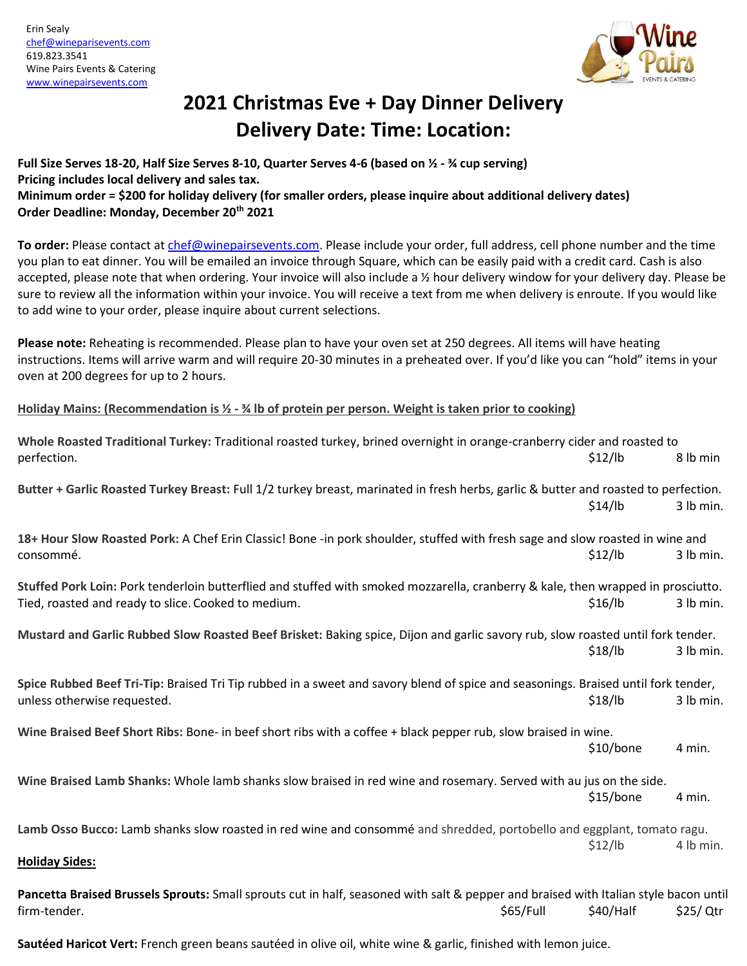

## **2021 Christmas Eve + Day Dinner Delivery Delivery Date: Time: Location:**

## **Full Size Serves 18-20, Half Size Serves 8-10, Quarter Serves 4-6 (based on ½ - ¾ cup serving) Pricing includes local delivery and sales tax. Minimum order = \$200 for holiday delivery (for smaller orders, please inquire about additional delivery dates) Order Deadline: Monday, December 20th 2021**

**To order:** Please contact a[t chef@winepairsevents.com.](mailto:chef@winepairsevents.com) Please include your order, full address, cell phone number and the time you plan to eat dinner. You will be emailed an invoice through Square, which can be easily paid with a credit card. Cash is also accepted, please note that when ordering. Your invoice will also include a ½ hour delivery window for your delivery day. Please be sure to review all the information within your invoice. You will receive a text from me when delivery is enroute. If you would like to add wine to your order, please inquire about current selections.

**Please note:** Reheating is recommended. Please plan to have your oven set at 250 degrees. All items will have heating instructions. Items will arrive warm and will require 20-30 minutes in a preheated over. If you'd like you can "hold" items in your oven at 200 degrees for up to 2 hours.

**Holiday Mains: (Recommendation is ½ - ¾ lb of protein per person. Weight is taken prior to cooking)**

| Whole Roasted Traditional Turkey: Traditional roasted turkey, brined overnight in orange-cranberry cider and roasted to              |           |           |           |
|--------------------------------------------------------------------------------------------------------------------------------------|-----------|-----------|-----------|
| perfection.                                                                                                                          |           | \$12/lb   | 8 lb min  |
| Butter + Garlic Roasted Turkey Breast: Full 1/2 turkey breast, marinated in fresh herbs, garlic & butter and roasted to perfection.  |           |           |           |
|                                                                                                                                      |           | \$14/lb   | 3 lb min. |
| 18+ Hour Slow Roasted Pork: A Chef Erin Classic! Bone -in pork shoulder, stuffed with fresh sage and slow roasted in wine and        |           |           |           |
| consommé.                                                                                                                            |           | \$12/lb   | 3 lb min. |
| Stuffed Pork Loin: Pork tenderloin butterflied and stuffed with smoked mozzarella, cranberry & kale, then wrapped in prosciutto.     |           |           |           |
| Tied, roasted and ready to slice. Cooked to medium.                                                                                  |           | \$16/lb   | 3 lb min. |
| Mustard and Garlic Rubbed Slow Roasted Beef Brisket: Baking spice, Dijon and garlic savory rub, slow roasted until fork tender.      |           |           |           |
|                                                                                                                                      |           | \$18/lb   | 3 lb min. |
| Spice Rubbed Beef Tri-Tip: Braised Tri Tip rubbed in a sweet and savory blend of spice and seasonings. Braised until fork tender,    |           |           |           |
| unless otherwise requested.                                                                                                          |           | \$18/lb   | 3 lb min. |
| Wine Braised Beef Short Ribs: Bone- in beef short ribs with a coffee + black pepper rub, slow braised in wine.                       |           |           |           |
|                                                                                                                                      |           | \$10/bone | 4 min.    |
| Wine Braised Lamb Shanks: Whole lamb shanks slow braised in red wine and rosemary. Served with au jus on the side.                   |           |           |           |
|                                                                                                                                      |           | \$15/bone | 4 min.    |
| Lamb Osso Bucco: Lamb shanks slow roasted in red wine and consommé and shredded, portobello and eggplant, tomato ragu.               |           |           |           |
|                                                                                                                                      |           | \$12/lb   | 4 lb min. |
| <b>Holiday Sides:</b>                                                                                                                |           |           |           |
| Pancetta Braised Brussels Sprouts: Small sprouts cut in half, seasoned with salt & pepper and braised with Italian style bacon until |           |           |           |
| firm-tender.                                                                                                                         | \$65/Full | \$40/Half | \$25/ Qtr |
|                                                                                                                                      |           |           |           |

**Sautéed Haricot Vert:** French green beans sautéed in olive oil, white wine & garlic, finished with lemon juice.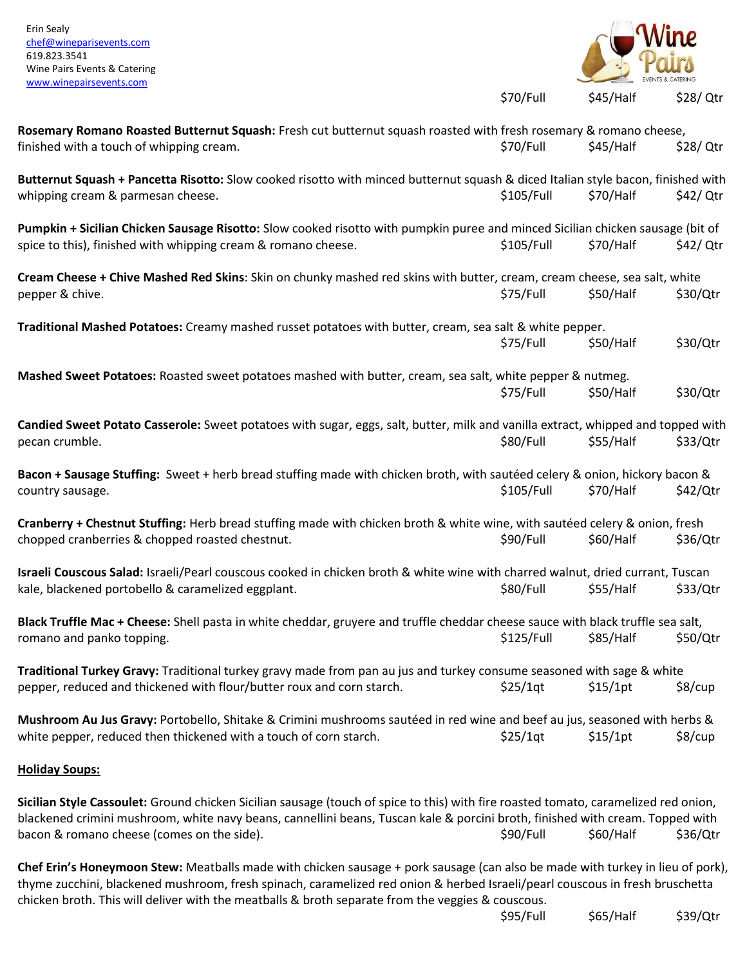

**Chef Erin's Honeymoon Stew:** Meatballs made with chicken sausage + pork sausage (can also be made with turkey in lieu of pork), thyme zucchini, blackened mushroom, fresh spinach, caramelized red onion & herbed Israeli/pearl couscous in fresh bruschetta chicken broth. This will deliver with the meatballs & broth separate from the veggies & couscous.